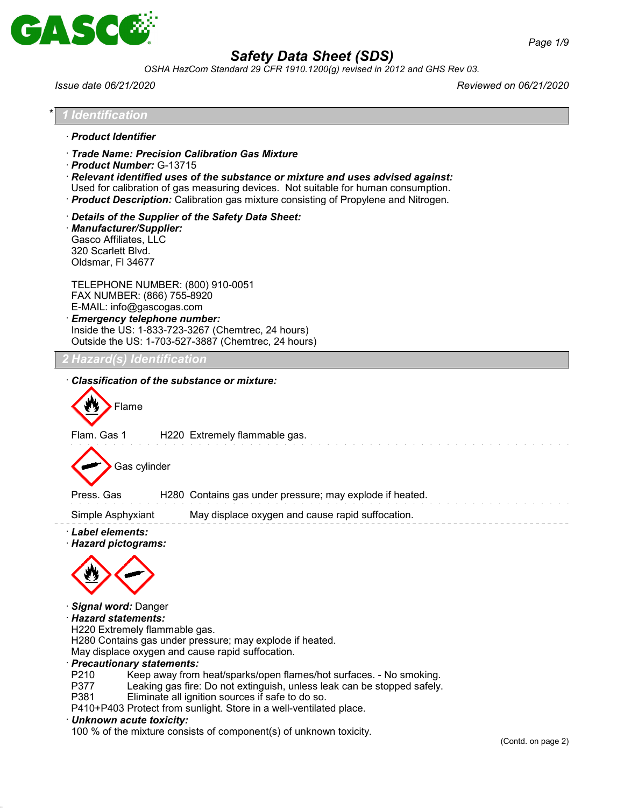

*OSHA HazCom Standard 29 CFR 1910.1200(g) revised in 2012 and GHS Rev 03.*

| Identification<br>Trade Name: Precision Calibration Gas Mixture<br>Product Number: G-13715<br>$\cdot$ Relevant identified uses of the substance or mixture and uses advised against:<br>Used for calibration of gas measuring devices. Not suitable for human consumption.<br>· Product Description: Calibration gas mixture consisting of Propylene and Nitrogen.<br>Details of the Supplier of the Safety Data Sheet:<br>· Manufacturer/Supplier:<br>Gasco Affiliates, LLC<br>320 Scarlett Blvd.<br>Oldsmar, FI 34677<br>TELEPHONE NUMBER: (800) 910-0051<br>FAX NUMBER: (866) 755-8920<br>E-MAIL: info@gascogas.com<br><b>Emergency telephone number:</b><br>Inside the US: 1-833-723-3267 (Chemtrec, 24 hours)<br>Outside the US: 1-703-527-3887 (Chemtrec, 24 hours)<br>Hazard(s) Identification<br>Classification of the substance or mixture:<br>Flame<br>Flam. Gas 1<br>H220 Extremely flammable gas.<br>Gas cylinder<br>H280 Contains gas under pressure; may explode if heated.<br>Press. Gas<br>Simple Asphyxiant<br>May displace oxygen and cause rapid suffocation.<br>· Signal word: Danger<br>· Hazard statements:<br>H220 Extremely flammable gas.<br>H280 Contains gas under pressure; may explode if heated.<br>May displace oxygen and cause rapid suffocation.<br>· Precautionary statements:<br>P210<br>Keep away from heat/sparks/open flames/hot surfaces. - No smoking.<br>P377<br>Leaking gas fire: Do not extinguish, unless leak can be stopped safely.<br>P381<br>Eliminate all ignition sources if safe to do so.<br>P410+P403 Protect from sunlight. Store in a well-ventilated place.<br>· Unknown acute toxicity:<br>100 % of the mixture consists of component(s) of unknown toxicity. | Issue date 06/21/2020                     | Reviewed on 06/21/2020  |
|-------------------------------------------------------------------------------------------------------------------------------------------------------------------------------------------------------------------------------------------------------------------------------------------------------------------------------------------------------------------------------------------------------------------------------------------------------------------------------------------------------------------------------------------------------------------------------------------------------------------------------------------------------------------------------------------------------------------------------------------------------------------------------------------------------------------------------------------------------------------------------------------------------------------------------------------------------------------------------------------------------------------------------------------------------------------------------------------------------------------------------------------------------------------------------------------------------------------------------------------------------------------------------------------------------------------------------------------------------------------------------------------------------------------------------------------------------------------------------------------------------------------------------------------------------------------------------------------------------------------------------------------------------------------------------------------------------------------------|-------------------------------------------|-------------------------|
|                                                                                                                                                                                                                                                                                                                                                                                                                                                                                                                                                                                                                                                                                                                                                                                                                                                                                                                                                                                                                                                                                                                                                                                                                                                                                                                                                                                                                                                                                                                                                                                                                                                                                                                         |                                           |                         |
|                                                                                                                                                                                                                                                                                                                                                                                                                                                                                                                                                                                                                                                                                                                                                                                                                                                                                                                                                                                                                                                                                                                                                                                                                                                                                                                                                                                                                                                                                                                                                                                                                                                                                                                         | · Product Identifier                      |                         |
|                                                                                                                                                                                                                                                                                                                                                                                                                                                                                                                                                                                                                                                                                                                                                                                                                                                                                                                                                                                                                                                                                                                                                                                                                                                                                                                                                                                                                                                                                                                                                                                                                                                                                                                         |                                           |                         |
|                                                                                                                                                                                                                                                                                                                                                                                                                                                                                                                                                                                                                                                                                                                                                                                                                                                                                                                                                                                                                                                                                                                                                                                                                                                                                                                                                                                                                                                                                                                                                                                                                                                                                                                         |                                           |                         |
|                                                                                                                                                                                                                                                                                                                                                                                                                                                                                                                                                                                                                                                                                                                                                                                                                                                                                                                                                                                                                                                                                                                                                                                                                                                                                                                                                                                                                                                                                                                                                                                                                                                                                                                         |                                           |                         |
|                                                                                                                                                                                                                                                                                                                                                                                                                                                                                                                                                                                                                                                                                                                                                                                                                                                                                                                                                                                                                                                                                                                                                                                                                                                                                                                                                                                                                                                                                                                                                                                                                                                                                                                         |                                           |                         |
|                                                                                                                                                                                                                                                                                                                                                                                                                                                                                                                                                                                                                                                                                                                                                                                                                                                                                                                                                                                                                                                                                                                                                                                                                                                                                                                                                                                                                                                                                                                                                                                                                                                                                                                         |                                           |                         |
|                                                                                                                                                                                                                                                                                                                                                                                                                                                                                                                                                                                                                                                                                                                                                                                                                                                                                                                                                                                                                                                                                                                                                                                                                                                                                                                                                                                                                                                                                                                                                                                                                                                                                                                         |                                           |                         |
|                                                                                                                                                                                                                                                                                                                                                                                                                                                                                                                                                                                                                                                                                                                                                                                                                                                                                                                                                                                                                                                                                                                                                                                                                                                                                                                                                                                                                                                                                                                                                                                                                                                                                                                         |                                           |                         |
|                                                                                                                                                                                                                                                                                                                                                                                                                                                                                                                                                                                                                                                                                                                                                                                                                                                                                                                                                                                                                                                                                                                                                                                                                                                                                                                                                                                                                                                                                                                                                                                                                                                                                                                         |                                           |                         |
|                                                                                                                                                                                                                                                                                                                                                                                                                                                                                                                                                                                                                                                                                                                                                                                                                                                                                                                                                                                                                                                                                                                                                                                                                                                                                                                                                                                                                                                                                                                                                                                                                                                                                                                         |                                           |                         |
|                                                                                                                                                                                                                                                                                                                                                                                                                                                                                                                                                                                                                                                                                                                                                                                                                                                                                                                                                                                                                                                                                                                                                                                                                                                                                                                                                                                                                                                                                                                                                                                                                                                                                                                         |                                           |                         |
|                                                                                                                                                                                                                                                                                                                                                                                                                                                                                                                                                                                                                                                                                                                                                                                                                                                                                                                                                                                                                                                                                                                                                                                                                                                                                                                                                                                                                                                                                                                                                                                                                                                                                                                         |                                           |                         |
|                                                                                                                                                                                                                                                                                                                                                                                                                                                                                                                                                                                                                                                                                                                                                                                                                                                                                                                                                                                                                                                                                                                                                                                                                                                                                                                                                                                                                                                                                                                                                                                                                                                                                                                         | · Label elements:<br>· Hazard pictograms: |                         |
|                                                                                                                                                                                                                                                                                                                                                                                                                                                                                                                                                                                                                                                                                                                                                                                                                                                                                                                                                                                                                                                                                                                                                                                                                                                                                                                                                                                                                                                                                                                                                                                                                                                                                                                         |                                           |                         |
|                                                                                                                                                                                                                                                                                                                                                                                                                                                                                                                                                                                                                                                                                                                                                                                                                                                                                                                                                                                                                                                                                                                                                                                                                                                                                                                                                                                                                                                                                                                                                                                                                                                                                                                         |                                           |                         |
|                                                                                                                                                                                                                                                                                                                                                                                                                                                                                                                                                                                                                                                                                                                                                                                                                                                                                                                                                                                                                                                                                                                                                                                                                                                                                                                                                                                                                                                                                                                                                                                                                                                                                                                         |                                           | $(Conted)$ on page $2)$ |

(Contd. on page 2)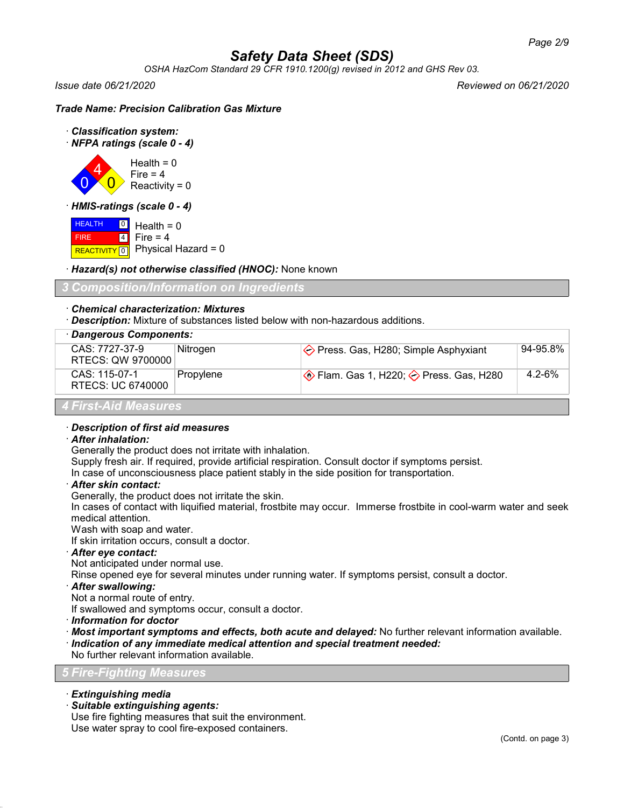*OSHA HazCom Standard 29 CFR 1910.1200(g) revised in 2012 and GHS Rev 03.*

*Issue date 06/21/2020 Reviewed on 06/21/2020*

#### *Trade Name: Precision Calibration Gas Mixture*



· *NFPA ratings (scale 0 - 4)*

0 4  $\overline{0}$  $Health = 0$ Fire  $= 4$  $Reactivity = 0$ 

· *HMIS-ratings (scale 0 - 4)*

 HEALTH FIRE REACTIVITY  $\boxed{0}$  Physical Hazard = 0 0 4 Health  $= 0$ Fire  $= 4$ 

· *Hazard(s) not otherwise classified (HNOC):* None known

## *3 Composition/Information on Ingredients*

#### · *Chemical characterization: Mixtures*

· *Description:* Mixture of substances listed below with non-hazardous additions.

| · Dangerous Components:             |           |                                                |             |  |
|-------------------------------------|-----------|------------------------------------------------|-------------|--|
| CAS: 7727-37-9<br>RTECS: QW 9700000 | Nitrogen  | $\Diamond$ Press. Gas, H280; Simple Asphyxiant | 94-95.8%    |  |
| CAS: 115-07-1<br>RTECS: UC 6740000  | Propylene |                                                | $4.2 - 6\%$ |  |
| 4 First-Aid Measures                |           |                                                |             |  |

#### · *Description of first aid measures*

#### · *After inhalation:*

Generally the product does not irritate with inhalation.

Supply fresh air. If required, provide artificial respiration. Consult doctor if symptoms persist.

In case of unconsciousness place patient stably in the side position for transportation.

#### · *After skin contact:*

Generally, the product does not irritate the skin.

In cases of contact with liquified material, frostbite may occur. Immerse frostbite in cool-warm water and seek medical attention.

Wash with soap and water.

If skin irritation occurs, consult a doctor.

## · *After eye contact:*

Not anticipated under normal use.

Rinse opened eye for several minutes under running water. If symptoms persist, consult a doctor.

#### · *After swallowing:*

Not a normal route of entry.

If swallowed and symptoms occur, consult a doctor.

- · *Information for doctor*
- · *Most important symptoms and effects, both acute and delayed:* No further relevant information available. · *Indication of any immediate medical attention and special treatment needed:*
- No further relevant information available.

## *5 Fire-Fighting Measures*

- · *Extinguishing media*
- · *Suitable extinguishing agents:*

Use fire fighting measures that suit the environment. Use water spray to cool fire-exposed containers.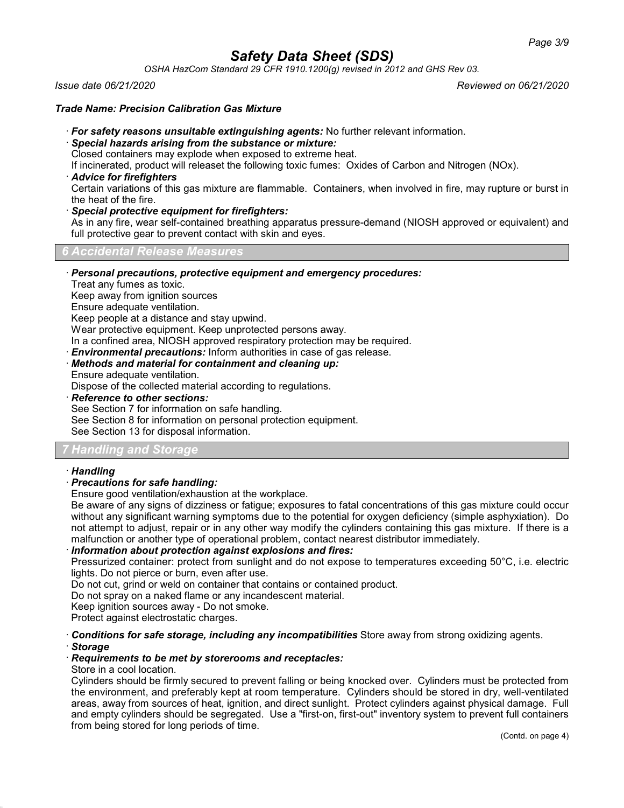*OSHA HazCom Standard 29 CFR 1910.1200(g) revised in 2012 and GHS Rev 03.*

*Issue date 06/21/2020 Reviewed on 06/21/2020*

## *Trade Name: Precision Calibration Gas Mixture*

- · *For safety reasons unsuitable extinguishing agents:* No further relevant information.
- · *Special hazards arising from the substance or mixture:*

Closed containers may explode when exposed to extreme heat.

If incinerated, product will releaset the following toxic fumes: Oxides of Carbon and Nitrogen (NOx).

· *Advice for firefighters*

Certain variations of this gas mixture are flammable. Containers, when involved in fire, may rupture or burst in the heat of the fire.

· *Special protective equipment for firefighters:*

As in any fire, wear self-contained breathing apparatus pressure-demand (NIOSH approved or equivalent) and full protective gear to prevent contact with skin and eyes.

*6 Accidental Release Measures*

· *Personal precautions, protective equipment and emergency procedures:*

Treat any fumes as toxic.

Keep away from ignition sources

Ensure adequate ventilation.

Keep people at a distance and stay upwind.

Wear protective equipment. Keep unprotected persons away.

In a confined area, NIOSH approved respiratory protection may be required.

· *Environmental precautions:* Inform authorities in case of gas release.

· *Methods and material for containment and cleaning up:*

Ensure adequate ventilation.

Dispose of the collected material according to regulations.

· *Reference to other sections:*

See Section 7 for information on safe handling.

See Section 8 for information on personal protection equipment.

See Section 13 for disposal information.

## *7 Handling and Storage*

## · *Handling*

## · *Precautions for safe handling:*

Ensure good ventilation/exhaustion at the workplace.

Be aware of any signs of dizziness or fatigue; exposures to fatal concentrations of this gas mixture could occur without any significant warning symptoms due to the potential for oxygen deficiency (simple asphyxiation). Do not attempt to adjust, repair or in any other way modify the cylinders containing this gas mixture. If there is a malfunction or another type of operational problem, contact nearest distributor immediately.

## · *Information about protection against explosions and fires:*

Pressurized container: protect from sunlight and do not expose to temperatures exceeding 50°C, i.e. electric lights. Do not pierce or burn, even after use.

Do not cut, grind or weld on container that contains or contained product.

Do not spray on a naked flame or any incandescent material.

Keep ignition sources away - Do not smoke.

Protect against electrostatic charges.

· *Conditions for safe storage, including any incompatibilities* Store away from strong oxidizing agents.

## · *Storage*

## · *Requirements to be met by storerooms and receptacles:*

## Store in a cool location.

Cylinders should be firmly secured to prevent falling or being knocked over. Cylinders must be protected from the environment, and preferably kept at room temperature. Cylinders should be stored in dry, well-ventilated areas, away from sources of heat, ignition, and direct sunlight. Protect cylinders against physical damage. Full and empty cylinders should be segregated. Use a "first-on, first-out" inventory system to prevent full containers from being stored for long periods of time.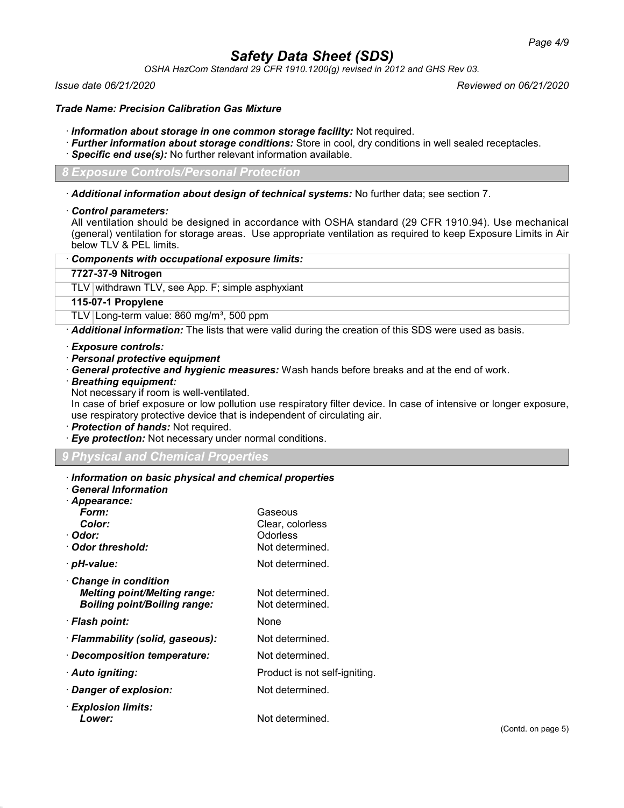*OSHA HazCom Standard 29 CFR 1910.1200(g) revised in 2012 and GHS Rev 03.*

*Issue date 06/21/2020 Reviewed on 06/21/2020*

#### *Trade Name: Precision Calibration Gas Mixture*

- · *Information about storage in one common storage facility:* Not required.
- · *Further information about storage conditions:* Store in cool, dry conditions in well sealed receptacles.
- · *Specific end use(s):* No further relevant information available.

*8 Exposure Controls/Personal Protection*

· *Additional information about design of technical systems:* No further data; see section 7.

#### · *Control parameters:*

All ventilation should be designed in accordance with OSHA standard (29 CFR 1910.94). Use mechanical (general) ventilation for storage areas. Use appropriate ventilation as required to keep Exposure Limits in Air below TLV & PEL limits.

#### · *Components with occupational exposure limits:*

## **7727-37-9 Nitrogen**

TLV withdrawn TLV, see App. F; simple asphyxiant

#### **115-07-1 Propylene**

TLV Long-term value: 860 mg/m<sup>3</sup>, 500 ppm

· *Additional information:* The lists that were valid during the creation of this SDS were used as basis.

- · *Exposure controls:*
- · *Personal protective equipment*
- · *General protective and hygienic measures:* Wash hands before breaks and at the end of work.
- · *Breathing equipment:*

Not necessary if room is well-ventilated.

In case of brief exposure or low pollution use respiratory filter device. In case of intensive or longer exposure, use respiratory protective device that is independent of circulating air.

- · *Protection of hands:* Not required.
- · *Eye protection:* Not necessary under normal conditions.

## *9 Physical and Chemical Properties*

## · *Information on basic physical and chemical properties*

| <b>General Information</b> |  |
|----------------------------|--|
| .                          |  |

| Appearance.<br>Form:<br>Color:<br>· Odor:<br>· Odor threshold:                                           | Gaseous<br>Clear, colorless<br>Odorless<br>Not determined. |
|----------------------------------------------------------------------------------------------------------|------------------------------------------------------------|
| · pH-value:                                                                                              | Not determined.                                            |
| <b>Change in condition</b><br><b>Melting point/Melting range:</b><br><b>Boiling point/Boiling range:</b> | Not determined.<br>Not determined.                         |
| · Flash point:                                                                                           | None                                                       |
| · Flammability (solid, gaseous):                                                                         | Not determined.                                            |
| · Decomposition temperature:                                                                             | Not determined.                                            |
| · Auto igniting:                                                                                         | Product is not self-igniting.                              |
| Danger of explosion:                                                                                     | Not determined.                                            |
| · Explosion limits:<br>Lower:                                                                            | Not determined.                                            |
|                                                                                                          |                                                            |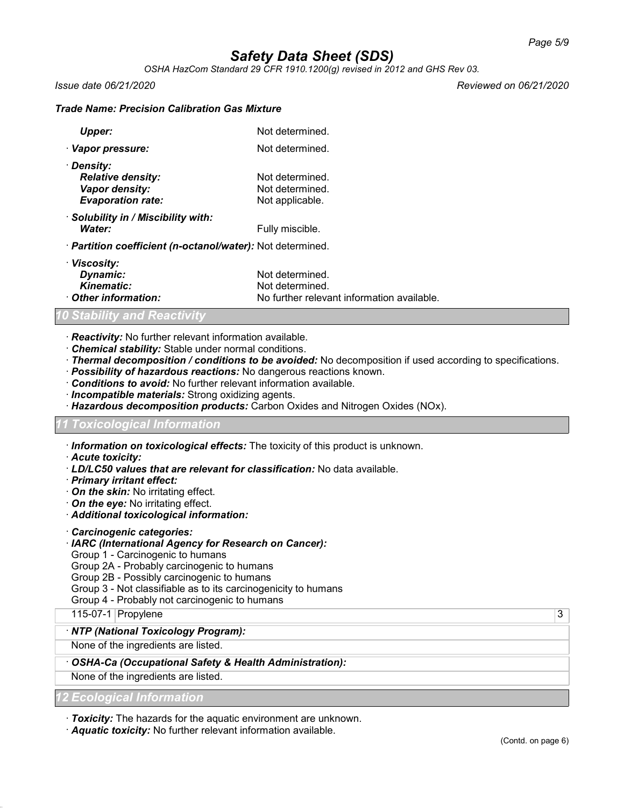*OSHA HazCom Standard 29 CFR 1910.1200(g) revised in 2012 and GHS Rev 03.*

*Issue date 06/21/2020 Reviewed on 06/21/2020*

#### *Trade Name: Precision Calibration Gas Mixture*

| Upper:                                                     | Not determined. |
|------------------------------------------------------------|-----------------|
| · Vapor pressure:                                          | Not determined. |
| · Density:                                                 |                 |
| <b>Relative density:</b>                                   | Not determined. |
| Vapor density:                                             | Not determined. |
| <b>Evaporation rate:</b>                                   | Not applicable. |
| · Solubility in / Miscibility with:                        |                 |
| Water:                                                     | Fully miscible. |
| · Partition coefficient (n-octanol/water): Not determined. |                 |
| · Viscosity:                                               |                 |
| Dynamic:                                                   | Not determined. |
| <b>Kinematic:</b>                                          | Not determined. |

· *Other information:* No further relevant information available.

#### *10 Stability and Reactivity*

- · *Reactivity:* No further relevant information available.
- · *Chemical stability:* Stable under normal conditions.
- · *Thermal decomposition / conditions to be avoided:* No decomposition if used according to specifications.
- · *Possibility of hazardous reactions:* No dangerous reactions known.
- · *Conditions to avoid:* No further relevant information available.
- · *Incompatible materials:* Strong oxidizing agents.
- · *Hazardous decomposition products:* Carbon Oxides and Nitrogen Oxides (NOx).

#### *11 Toxicological Information*

· *Information on toxicological effects:* The toxicity of this product is unknown.

- · *Acute toxicity:*
- · *LD/LC50 values that are relevant for classification:* No data available.
- · *Primary irritant effect:*
- · *On the skin:* No irritating effect.
- · *On the eye:* No irritating effect.
- · *Additional toxicological information:*
- · *Carcinogenic categories:*
- · *IARC (International Agency for Research on Cancer):*
- Group 1 Carcinogenic to humans

Group 2A - Probably carcinogenic to humans

Group 2B - Possibly carcinogenic to humans

- Group 3 Not classifiable as to its carcinogenicity to humans
- Group 4 Probably not carcinogenic to humans

115-07-1 Propylene 3

#### · *NTP (National Toxicology Program):*

None of the ingredients are listed.

#### · *OSHA-Ca (Occupational Safety & Health Administration):*

None of the ingredients are listed.

*12 Ecological Information*

· *Toxicity:* The hazards for the aquatic environment are unknown.

· *Aquatic toxicity:* No further relevant information available.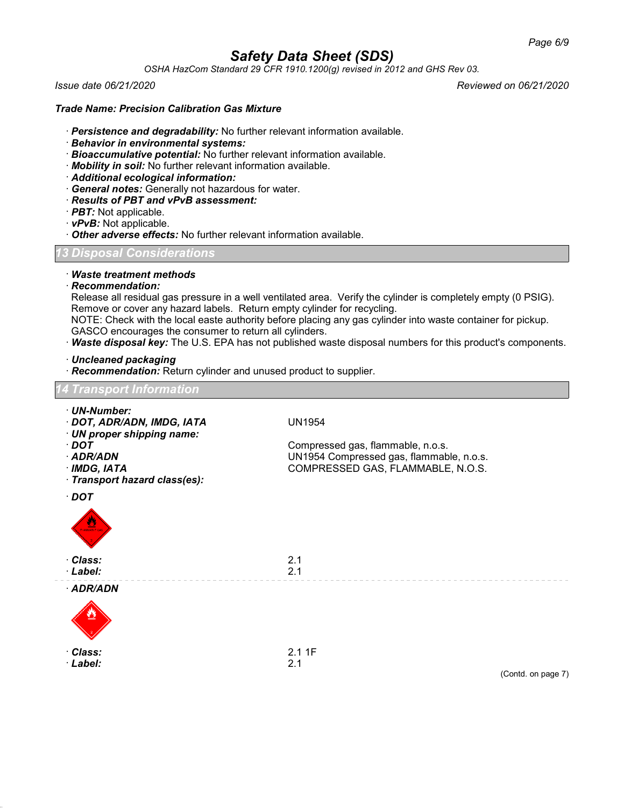*OSHA HazCom Standard 29 CFR 1910.1200(g) revised in 2012 and GHS Rev 03.*

*Issue date 06/21/2020 Reviewed on 06/21/2020*

## *Trade Name: Precision Calibration Gas Mixture*

- · *Persistence and degradability:* No further relevant information available.
- · *Behavior in environmental systems:*
- · *Bioaccumulative potential:* No further relevant information available.
- · *Mobility in soil:* No further relevant information available.
- · *Additional ecological information:*
- · *General notes:* Generally not hazardous for water.
- · *Results of PBT and vPvB assessment:*
- · *PBT:* Not applicable.
- · *vPvB:* Not applicable.
- · *Other adverse effects:* No further relevant information available.

## *13 Disposal Considerations*

· *Waste treatment methods*

#### · *Recommendation:*

Release all residual gas pressure in a well ventilated area. Verify the cylinder is completely empty (0 PSIG). Remove or cover any hazard labels. Return empty cylinder for recycling.

NOTE: Check with the local easte authority before placing any gas cylinder into waste container for pickup. GASCO encourages the consumer to return all cylinders.

· *Waste disposal key:* The U.S. EPA has not published waste disposal numbers for this product's components.

· *Uncleaned packaging*

· *Recommendation:* Return cylinder and unused product to supplier.

| <b>14 Transport Information</b>                                                                                                                             |                                                                                                                                     |
|-------------------------------------------------------------------------------------------------------------------------------------------------------------|-------------------------------------------------------------------------------------------------------------------------------------|
| · UN-Number:<br>· DOT, ADR/ADN, IMDG, IATA<br>· UN proper shipping name:<br>$\cdot$ DOT<br>· ADR/ADN<br>$\cdot$ IMDG, IATA<br>· Transport hazard class(es): | <b>UN1954</b><br>Compressed gas, flammable, n.o.s.<br>UN1954 Compressed gas, flammable, n.o.s.<br>COMPRESSED GAS, FLAMMABLE, N.O.S. |
| $\cdot$ DOT<br>LAMMABLE GA                                                                                                                                  |                                                                                                                                     |
| · Class:<br>· Label:                                                                                                                                        | 2.1<br>2.1                                                                                                                          |
| · ADR/ADN                                                                                                                                                   |                                                                                                                                     |
| · Class:<br>· Label:                                                                                                                                        | 2.11F<br>2.1<br>(Contd. on page 7)                                                                                                  |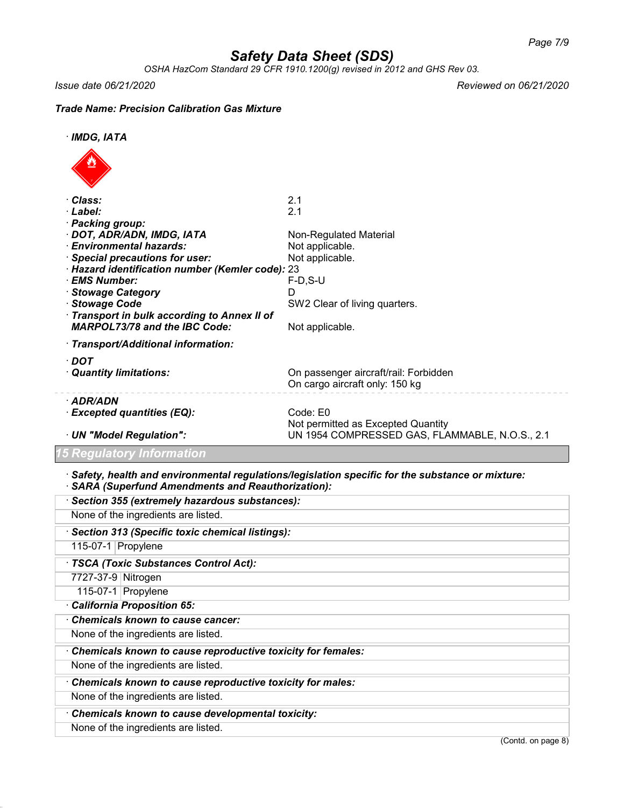*OSHA HazCom Standard 29 CFR 1910.1200(g) revised in 2012 and GHS Rev 03.*

*Issue date 06/21/2020 Reviewed on 06/21/2020*

## *Trade Name: Precision Calibration Gas Mixture*

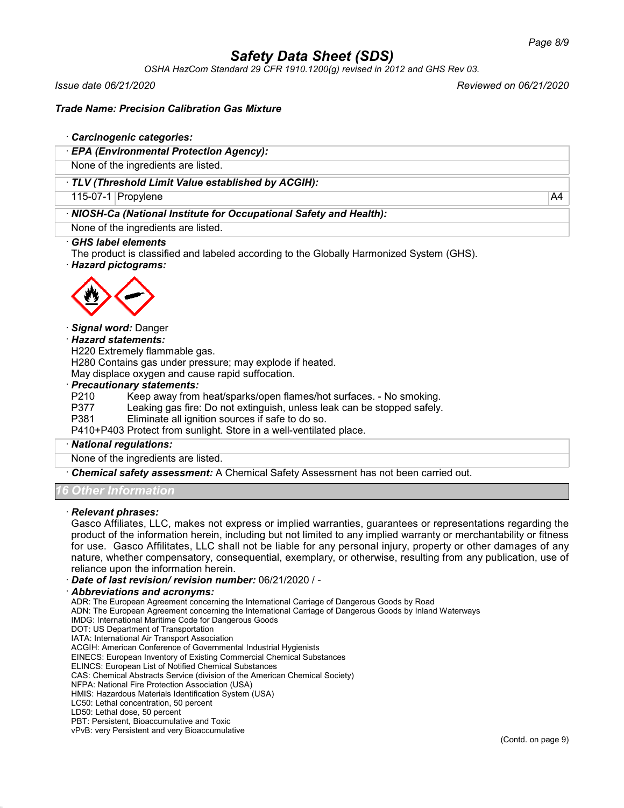*OSHA HazCom Standard 29 CFR 1910.1200(g) revised in 2012 and GHS Rev 03.*

*Issue date 06/21/2020 Reviewed on 06/21/2020*

## *Trade Name: Precision Calibration Gas Mixture*

#### · *Carcinogenic categories:*

· *EPA (Environmental Protection Agency):*

None of the ingredients are listed.

## · *TLV (Threshold Limit Value established by ACGIH):*

115-07-1 Propylene A4

## · *NIOSH-Ca (National Institute for Occupational Safety and Health):*

None of the ingredients are listed.

#### · *GHS label elements*

The product is classified and labeled according to the Globally Harmonized System (GHS).

· *Hazard pictograms:*



#### · *Signal word:* Danger

#### · *Hazard statements:*

H220 Extremely flammable gas.

H280 Contains gas under pressure; may explode if heated.

May displace oxygen and cause rapid suffocation.

#### · *Precautionary statements:*

P210 Keep away from heat/sparks/open flames/hot surfaces. - No smoking.

- P377 Leaking gas fire: Do not extinguish, unless leak can be stopped safely.<br>P381 Eliminate all ignition sources if safe to do so.
- Eliminate all ignition sources if safe to do so.

P410+P403 Protect from sunlight. Store in a well-ventilated place.

#### · *National regulations:*

None of the ingredients are listed.

· *Chemical safety assessment:* A Chemical Safety Assessment has not been carried out.

## *16 Other Information*

#### · *Relevant phrases:*

Gasco Affiliates, LLC, makes not express or implied warranties, guarantees or representations regarding the product of the information herein, including but not limited to any implied warranty or merchantability or fitness for use. Gasco Affilitates, LLC shall not be liable for any personal injury, property or other damages of any nature, whether compensatory, consequential, exemplary, or otherwise, resulting from any publication, use of reliance upon the information herein.

· *Date of last revision/ revision number:* 06/21/2020 / -

#### · *Abbreviations and acronyms:*

ADR: The European Agreement concerning the International Carriage of Dangerous Goods by Road

ADN: The European Agreement concerning the International Carriage of Dangerous Goods by Inland Waterways

IMDG: International Maritime Code for Dangerous Goods

DOT: US Department of Transportation

IATA: International Air Transport Association

ACGIH: American Conference of Governmental Industrial Hygienists

EINECS: European Inventory of Existing Commercial Chemical Substances

ELINCS: European List of Notified Chemical Substances

CAS: Chemical Abstracts Service (division of the American Chemical Society)

NFPA: National Fire Protection Association (USA)

HMIS: Hazardous Materials Identification System (USA)

LC50: Lethal concentration, 50 percent

PBT: Persistent, Bioaccumulative and Toxic

vPvB: very Persistent and very Bioaccumulative

LD50: Lethal dose, 50 percent